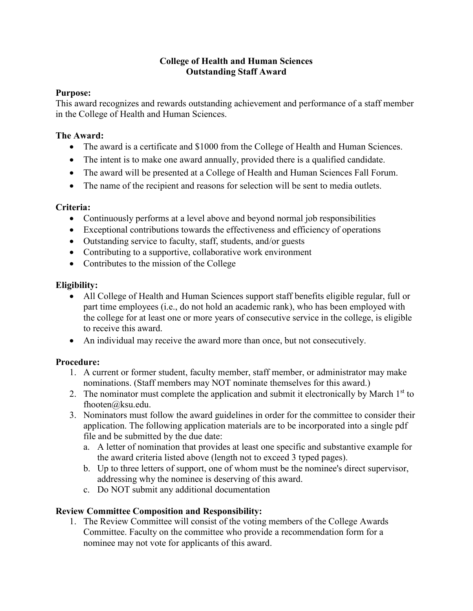## **College of Health and Human Sciences Outstanding Staff Award**

#### **Purpose:**

This award recognizes and rewards outstanding achievement and performance of a staff member in the College of Health and Human Sciences.

#### **The Award:**

- The award is a certificate and \$1000 from the College of Health and Human Sciences.
- The intent is to make one award annually, provided there is a qualified candidate.
- The award will be presented at a College of Health and Human Sciences Fall Forum.
- The name of the recipient and reasons for selection will be sent to media outlets.

## **Criteria:**

- Continuously performs at a level above and beyond normal job responsibilities
- Exceptional contributions towards the effectiveness and efficiency of operations
- Outstanding service to faculty, staff, students, and/or guests
- Contributing to a supportive, collaborative work environment
- Contributes to the mission of the College

# **Eligibility:**

- All College of Health and Human Sciences support staff benefits eligible regular, full or part time employees (i.e., do not hold an academic rank), who has been employed with the college for at least one or more years of consecutive service in the college, is eligible to receive this award.
- An individual may receive the award more than once, but not consecutively.

## **Procedure:**

- 1. A current or former student, faculty member, staff member, or administrator may make nominations. (Staff members may NOT nominate themselves for this award.)
- 2. The nominator must complete the application and submit it electronically by March  $1<sup>st</sup>$  to fhooten@ksu.edu.
- 3. Nominators must follow the award guidelines in order for the committee to consider their application. The following application materials are to be incorporated into a single pdf file and be submitted by the due date:
	- a. A letter of nomination that provides at least one specific and substantive example for the award criteria listed above (length not to exceed 3 typed pages).
	- b. Up to three letters of support, one of whom must be the nominee's direct supervisor, addressing why the nominee is deserving of this award.
	- c. Do NOT submit any additional documentation

## **Review Committee Composition and Responsibility:**

1. The Review Committee will consist of the voting members of the College Awards Committee. Faculty on the committee who provide a recommendation form for a nominee may not vote for applicants of this award.